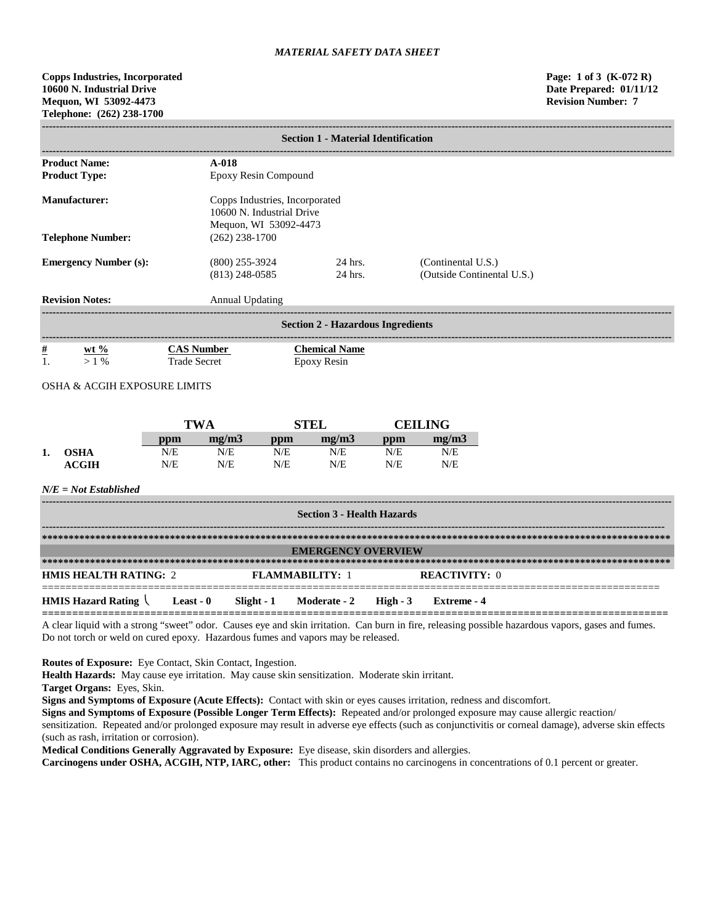**Copps Industries, Incorporated Page: 1 of 3 (K-072 R) 10600 N. Industrial Drive Date Prepared: 01/11/12 Mequon, WI 53092-4473 Revision Number: 7 Telephone: (262) 238-1700**

|                                          | <b>Section 1 - Material Identification</b> |                                                             |                                                  |  |  |  |  |  |  |
|------------------------------------------|--------------------------------------------|-------------------------------------------------------------|--------------------------------------------------|--|--|--|--|--|--|
| <b>Product Name:</b><br>$A-018$          |                                            |                                                             |                                                  |  |  |  |  |  |  |
| <b>Product Type:</b>                     | Epoxy Resin Compound                       |                                                             |                                                  |  |  |  |  |  |  |
| <b>Manufacturer:</b>                     | Mequon, WI 53092-4473                      | Copps Industries, Incorporated<br>10600 N. Industrial Drive |                                                  |  |  |  |  |  |  |
| <b>Telephone Number:</b>                 | $(262)$ 238-1700                           |                                                             |                                                  |  |  |  |  |  |  |
| <b>Emergency Number (s):</b>             | $(800)$ 255-3924<br>$(813)$ 248-0585       | 24 hrs.<br>24 hrs.                                          | (Continental U.S.)<br>(Outside Continental U.S.) |  |  |  |  |  |  |
| <b>Revision Notes:</b>                   | <b>Annual Updating</b>                     |                                                             |                                                  |  |  |  |  |  |  |
| <b>Section 2 - Hazardous Ingredients</b> |                                            |                                                             |                                                  |  |  |  |  |  |  |
| $\frac{\#}{1}$<br>wt $\%$<br>$>1\%$      | <b>CAS Number</b><br><b>Trade Secret</b>   | <b>Chemical Name</b><br>Epoxy Resin                         |                                                  |  |  |  |  |  |  |

OSHA & ACGIH EXPOSURE LIMITS

|    |                  | TWA |       |     | וחיצ  |     | CEILING |  |
|----|------------------|-----|-------|-----|-------|-----|---------|--|
|    |                  | ppm | me/m3 | ppm | mg/m3 | ppm | mg/m3   |  |
| 1. | OSHA             | N/E | N/E   | N/E | N/E   | N/E | N/E     |  |
|    | $\mathbf{ACGIH}$ | N/E | N/E   | N/E | N/E   | N/E | N/E     |  |

### *N/E = Not Established*

| <b>Section 3 - Health Hazards</b> |           |  |                                    |  |                      |  |  |  |  |
|-----------------------------------|-----------|--|------------------------------------|--|----------------------|--|--|--|--|
|                                   |           |  |                                    |  |                      |  |  |  |  |
|                                   |           |  | <b>EMERGENCY OVERVIEW</b>          |  |                      |  |  |  |  |
|                                   |           |  |                                    |  |                      |  |  |  |  |
| <b>HMIS HEALTH RATING: 2</b>      |           |  | <b>FLAMMARILITY: 1</b>             |  | <b>REACTIVITY: 0</b> |  |  |  |  |
| <b>HMIS Hazard Rating</b>         | Least - 0 |  | $Slight - 1$ Moderate - 2 High - 3 |  | Extreme - 4          |  |  |  |  |

A clear liquid with a strong "sweet" odor. Causes eye and skin irritation. Can burn in fire, releasing possible hazardous vapors, gases and fumes. Do not torch or weld on cured epoxy. Hazardous fumes and vapors may be released.

**Routes of Exposure:** Eye Contact, Skin Contact, Ingestion.

**Health Hazards:** May cause eye irritation. May cause skin sensitization. Moderate skin irritant.

**Target Organs:** Eyes, Skin.

**Signs and Symptoms of Exposure (Acute Effects):** Contact with skin or eyes causes irritation, redness and discomfort.

**Signs and Symptoms of Exposure (Possible Longer Term Effects):** Repeated and/or prolonged exposure may cause allergic reaction/ sensitization. Repeated and/or prolonged exposure may result in adverse eye effects (such as conjunctivitis or corneal damage), adverse skin effects (such as rash, irritation or corrosion).

**Medical Conditions Generally Aggravated by Exposure:** Eye disease, skin disorders and allergies.

**Carcinogens under OSHA, ACGIH, NTP, IARC, other:** This product contains no carcinogens in concentrations of 0.1 percent or greater.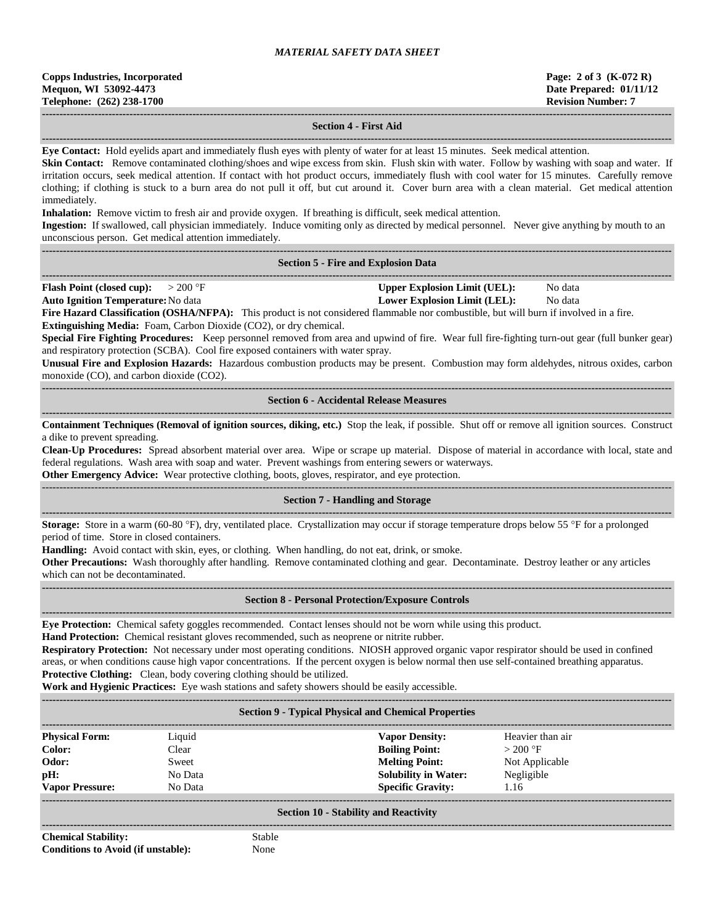| <b>Copps Industries, Incorporated</b> |
|---------------------------------------|
| Mequon, WI 53092-4473                 |
| Telephone: (262) 238-1700             |

## **------------------------------------------------------------------------------------------------------------------------------------------------------------------------------------ Section 4 - First Aid**

**------------------------------------------------------------------------------------------------------------------------------------------------------------------------------------**

**Eye Contact:** Hold eyelids apart and immediately flush eyes with plenty of water for at least 15 minutes. Seek medical attention. **Skin Contact:** Remove contaminated clothing/shoes and wipe excess from skin. Flush skin with water. Follow by washing with soap and water. If irritation occurs, seek medical attention. If contact with hot product occurs, immediately flush with cool water for 15 minutes. Carefully remove

clothing; if clothing is stuck to a burn area do not pull it off, but cut around it. Cover burn area with a clean material. Get medical attention immediately.

**Inhalation:** Remove victim to fresh air and provide oxygen. If breathing is difficult, seek medical attention.

**Ingestion:** If swallowed, call physician immediately. Induce vomiting only as directed by medical personnel. Never give anything by mouth to an unconscious person. Get medical attention immediately. **------------------------------------------------------------------------------------------------------------------------------------------------------------------------------------**

| <b>Section 5 - Fire and Explosion Data</b> |  |  |  |  |  |  |
|--------------------------------------------|--|--|--|--|--|--|
|--------------------------------------------|--|--|--|--|--|--|

**------------------------------------------------------------------------------------------------------------------------------------------------------------------------------------ Flash Point (closed cup):**  $> 200 \text{ }^{\circ}\text{F}$  **Upper Explosion Limit (UEL):** No data

**Auto Ignition Temperature:**No data **Lower Explosion Limit (LEL):** No data

Fire Hazard Classification (OSHA/NFPA): This product is not considered flammable nor combustible, but will burn if involved in a fire. **Extinguishing Media:** Foam, Carbon Dioxide (CO2), or dry chemical.

**Special Fire Fighting Procedures:** Keep personnel removed from area and upwind of fire. Wear full fire-fighting turn-out gear (full bunker gear) and respiratory protection (SCBA). Cool fire exposed containers with water spray.

**Unusual Fire and Explosion Hazards:** Hazardous combustion products may be present. Combustion may form aldehydes, nitrous oxides, carbon monoxide (CO), and carbon dioxide (CO2).

**------------------------------------------------------------------------------------------------------------------------------------------------------------------------------------ Section 6 - Accidental Release Measures**

**------------------------------------------------------------------------------------------------------------------------------------------------------------------------------------ Containment Techniques (Removal of ignition sources, diking, etc.)** Stop the leak, if possible. Shut off or remove all ignition sources. Construct a dike to prevent spreading.

**Clean-Up Procedures:** Spread absorbent material over area. Wipe or scrape up material. Dispose of material in accordance with local, state and federal regulations. Wash area with soap and water. Prevent washings from entering sewers or waterways.

**Other Emergency Advice:** Wear protective clothing, boots, gloves, respirator, and eye protection.

#### ------------------------------------------------------------------------------------------------------------------------------------------------------------------------------------ **Section 7 - Handling and Storage**

**------------------------------------------------------------------------------------------------------------------------------------------------------------------------------------ Storage:** Store in a warm (60-80 °F), dry, ventilated place. Crystallization may occur if storage temperature drops below 55 °F for a prolonged period of time. Store in closed containers.

**Handling:** Avoid contact with skin, eyes, or clothing. When handling, do not eat, drink, or smoke.

**Other Precautions:** Wash thoroughly after handling. Remove contaminated clothing and gear. Decontaminate. Destroy leather or any articles which can not be decontaminated.

**------------------------------------------------------------------------------------------------------------------------------------------------------------------------------------**

#### **------------------------------------------------------------------------------------------------------------------------------------------------------------------------------------ Section 8 - Personal Protection/Exposure Controls**

**Eye Protection:** Chemical safety goggles recommended. Contact lenses should not be worn while using this product.

**Hand Protection:** Chemical resistant gloves recommended, such as neoprene or nitrite rubber.

**Respiratory Protection:** Not necessary under most operating conditions. NIOSH approved organic vapor respirator should be used in confined areas, or when conditions cause high vapor concentrations. If the percent oxygen is below normal then use self-contained breathing apparatus. **Protective Clothing:** Clean, body covering clothing should be utilized.

**Work and Hygienic Practices:** Eye wash stations and safety showers should be easily accessible.

#### **------------------------------------------------------------------------------------------------------------------------------------------------------------------------------------ Section 9 - Typical Physical and Chemical Properties**

| <b>Physical Form:</b>  | Liquid  | <b>Vapor Density:</b>       | Heavier than air |
|------------------------|---------|-----------------------------|------------------|
| Color:                 | Clear   | <b>Boiling Point:</b>       | $>200$ °F        |
| Odor:                  | Sweet   | <b>Melting Point:</b>       | Not Applicable   |
| pH:                    | No Data | <b>Solubility in Water:</b> | Negligible       |
| <b>Vapor Pressure:</b> | No Data | <b>Specific Gravity:</b>    | 1.16             |
|                        |         |                             |                  |

#### **Section 10 - Stability and Reactivity**

**------------------------------------------------------------------------------------------------------------------------------------------------------------------------------------ Chemical Stability:** Stable **Conditions to Avoid (if unstable):** None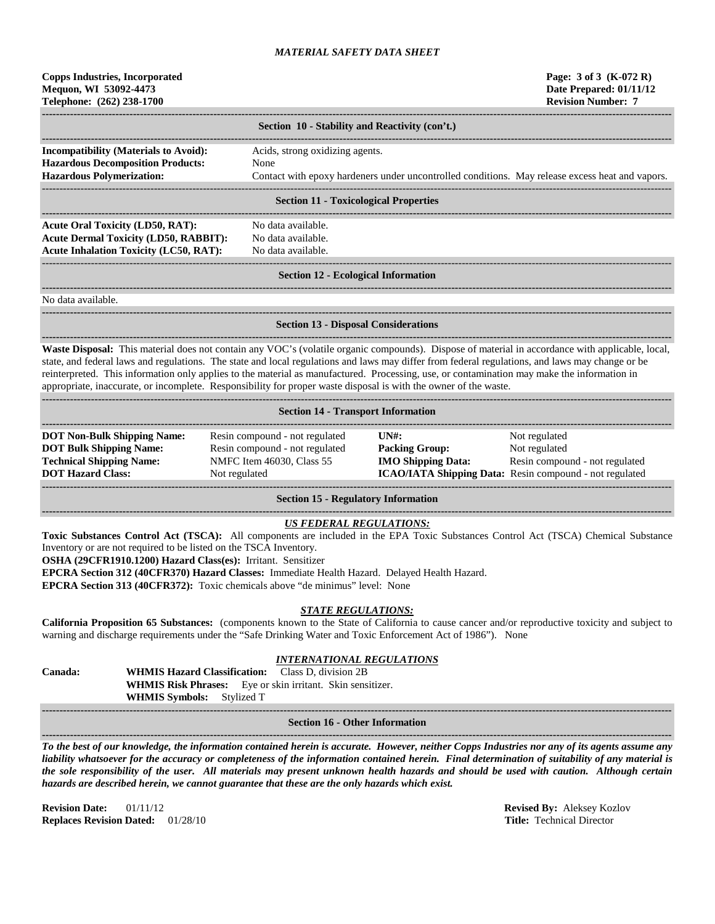| <b>Copps Industries, Incorporated</b> |
|---------------------------------------|
| Mequon, WI 53092-4473                 |
| Telephone: (262) 238-1700             |

|                                                                                          | Section 10 - Stability and Reactivity (con't.)                                                  |
|------------------------------------------------------------------------------------------|-------------------------------------------------------------------------------------------------|
| <b>Incompatibility (Materials to Avoid):</b><br><b>Hazardous Decomposition Products:</b> | Acids, strong oxidizing agents.<br>None                                                         |
| <b>Hazardous Polymerization:</b>                                                         | Contact with epoxy hardeners under uncontrolled conditions. May release excess heat and vapors. |
|                                                                                          | Section 11 - Tovicological Properties                                                           |

### **Section 11 - Toxicological Properties**

**------------------------------------------------------------------------------------------------------------------------------------------------------------------------------------ Acute Oral Toxicity (LD50, RAT):** No data available. **Acute Dermal Toxicity (LD50, RABBIT):** No data available. **Acute Inhalation Toxicity (LC50, RAT):** No data available.

**------------------------------------------------------------------------------------------------------------------------------------------------------------------------------------**

## ------------------------------------------------------------------------------------------------------------------------------------------------------------------------------------ **Section 12 - Ecological Information**

**------------------------------------------------------------------------------------------------------------------------------------------------------------------------------------**

**------------------------------------------------------------------------------------------------------------------------------------------------------------------------------------**

No data available.

**Section 13 - Disposal Considerations**

**------------------------------------------------------------------------------------------------------------------------------------------------------------------------------------ Waste Disposal:** This material does not contain any VOC's (volatile organic compounds). Dispose of material in accordance with applicable, local, state, and federal laws and regulations. The state and local regulations and laws may differ from federal regulations, and laws may change or be reinterpreted. This information only applies to the material as manufactured. Processing, use, or contamination may make the information in appropriate, inaccurate, or incomplete. Responsibility for proper waste disposal is with the owner of the waste.

| <b>Section 14 - Transport Information</b>                                                                                           |                                                                                                                |                                                                                                      |                                                                                                                             |  |  |  |  |
|-------------------------------------------------------------------------------------------------------------------------------------|----------------------------------------------------------------------------------------------------------------|------------------------------------------------------------------------------------------------------|-----------------------------------------------------------------------------------------------------------------------------|--|--|--|--|
| <b>DOT Non-Bulk Shipping Name:</b><br><b>DOT Bulk Shipping Name:</b><br><b>Technical Shipping Name:</b><br><b>DOT Hazard Class:</b> | Resin compound - not regulated<br>Resin compound - not regulated<br>NMFC Item 46030, Class 55<br>Not regulated | $\overline{I}$ $\overline{N}$ $\overline{H}$ :<br><b>Packing Group:</b><br><b>IMO Shipping Data:</b> | Not regulated<br>Not regulated<br>Resin compound - not regulated<br>ICAO/IATA Shipping Data: Resin compound - not regulated |  |  |  |  |

**Section 15 - Regulatory Information**

## *US FEDERAL REGULATIONS:*

**Toxic Substances Control Act (TSCA):** All components are included in the EPA Toxic Substances Control Act (TSCA) Chemical Substance Inventory or are not required to be listed on the TSCA Inventory.

**OSHA (29CFR1910.1200) Hazard Class(es):** Irritant. Sensitizer

**EPCRA Section 312 (40CFR370) Hazard Classes:** Immediate Health Hazard. Delayed Health Hazard.

**EPCRA Section 313 (40CFR372):** Toxic chemicals above "de minimus" level: None

## *STATE REGULATIONS:*

**California Proposition 65 Substances:** (components known to the State of California to cause cancer and/or reproductive toxicity and subject to warning and discharge requirements under the "Safe Drinking Water and Toxic Enforcement Act of 1986"). None

# *INTERNATIONAL REGULATIONS*

**Canada: WHMIS Hazard Classification:** Class D, division 2B **WHMIS Risk Phrases:** Eye or skin irritant. Skin sensitizer. **WHMIS Symbols:** Stylized T

#### **------------------------------------------------------------------------------------------------------------------------------------------------------------------------------------ Section 16 - Other Information**

**------------------------------------------------------------------------------------------------------------------------------------------------------------------------------------** *To the best of our knowledge, the information contained herein is accurate. However, neither Copps Industries nor any of its agents assume any liability whatsoever for the accuracy or completeness of the information contained herein. Final determination of suitability of any material is the sole responsibility of the user. All materials may present unknown health hazards and should be used with caution. Although certain hazards are described herein, we cannot guarantee that these are the only hazards which exist.*

**Revision Date:** 01/11/12 **Revised By:** Aleksey Kozlov **Replaces Revision Dated:** 01/28/10 **Title:** Technical Director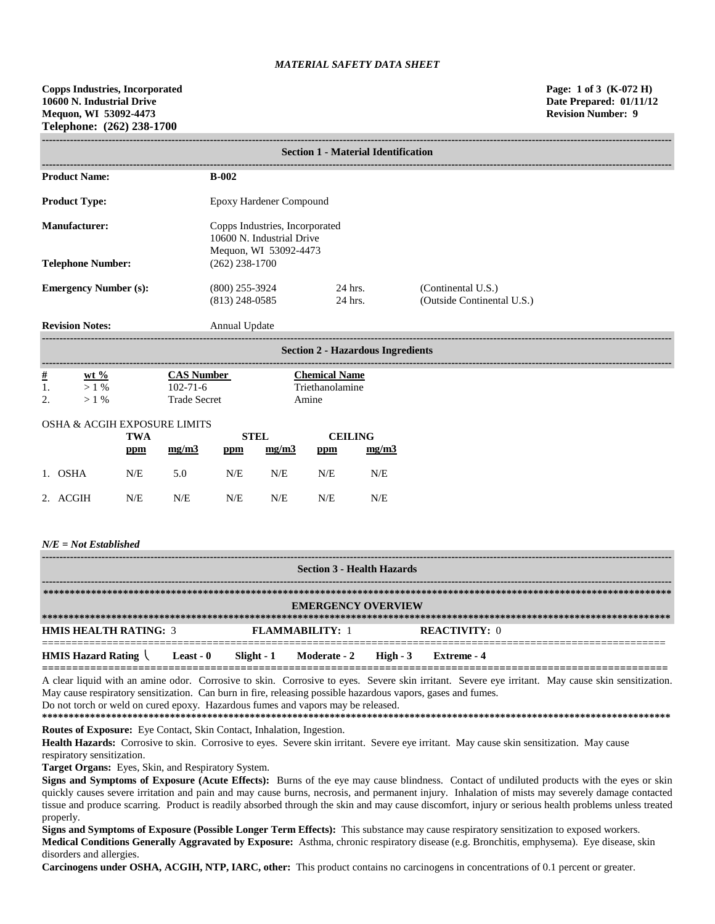|                              | <b>Section 1 - Material Identification</b>                                           |                    |                                                  |  |  |
|------------------------------|--------------------------------------------------------------------------------------|--------------------|--------------------------------------------------|--|--|
| <b>Product Name:</b>         | <b>B-002</b>                                                                         |                    |                                                  |  |  |
| <b>Product Type:</b>         | Epoxy Hardener Compound                                                              |                    |                                                  |  |  |
| Manufacturer:                | Copps Industries, Incorporated<br>10600 N. Industrial Drive<br>Mequon, WI 53092-4473 |                    |                                                  |  |  |
| <b>Telephone Number:</b>     | $(262)$ 238-1700                                                                     |                    |                                                  |  |  |
| <b>Emergency Number (s):</b> | $(800)$ 255-3924<br>$(813)$ 248-0585                                                 | 24 hrs.<br>24 hrs. | (Continental U.S.)<br>(Outside Continental U.S.) |  |  |
| <b>Revision Notes:</b>       | Annual Update                                                                        |                    |                                                  |  |  |

|                      | <b>Section 2 - Hazardous Ingredients</b> |                     |                      |  |  |  |  |
|----------------------|------------------------------------------|---------------------|----------------------|--|--|--|--|
| <u>#</u>             | $wt %$                                   | <b>CAS Number</b>   | <b>Chemical Name</b> |  |  |  |  |
| 1.                   | $1\%$                                    | $102 - 71 - 6$      | Triethanolamine      |  |  |  |  |
| $\gamma$<br><u>.</u> | $\frac{0}{6}$                            | <b>Trade Secret</b> | Amine                |  |  |  |  |

### OSHA & ACGIH EXPOSURE LIMITS

|          | <b>TWA</b> |       | STEL |       | <b>CEILING</b> |       |
|----------|------------|-------|------|-------|----------------|-------|
|          | ppm        | mg/m3 | ppm  | mg/m3 | ppm            | mg/m3 |
| 1. OSHA  | N/E        | 5.0   | N/E  | N/E   | N/E            | N/E   |
| 2. ACGIH | N/E        | N/E   | N/E  | N/E   | N/E            | N/E   |

### *N/E = Not Established*

| <b>Section 3 - Health Hazards</b>                          |  |  |                                  |  |                      |  |  |
|------------------------------------------------------------|--|--|----------------------------------|--|----------------------|--|--|
| <b>EMERGENCY OVERVIEW</b>                                  |  |  |                                  |  |                      |  |  |
| <b>HMIS HEALTH RATING: 3</b>                               |  |  | <b>FLAMMARILITY: 1</b>           |  | <b>REACTIVITY: 0</b> |  |  |
| <b>HMIS Hazard Rating <math>\setminus</math> Least - 0</b> |  |  | Slight - 1 Moderate - 2 High - 3 |  | Extreme - 4          |  |  |

A clear liquid with an amine odor. Corrosive to skin. Corrosive to eyes. Severe skin irritant. Severe eye irritant. May cause skin sensitization. May cause respiratory sensitization. Can burn in fire, releasing possible hazardous vapors, gases and fumes.

Do not torch or weld on cured epoxy. Hazardous fumes and vapors may be released.

**\*\*\*\*\*\*\*\*\*\*\*\*\*\*\*\*\*\*\*\*\*\*\*\*\*\*\*\*\*\*\*\*\*\*\*\*\*\*\*\*\*\*\*\*\*\*\*\*\*\*\*\*\*\*\*\*\*\*\*\*\*\*\*\*\*\*\*\*\*\*\*\*\*\*\*\*\*\*\*\*\*\*\*\*\*\*\*\*\*\*\*\*\*\*\*\*\*\*\*\*\*\*\*\*\*\*\*\*\*\*\*\*\*\*\*\*\*\* Routes of Exposure:** Eye Contact, Skin Contact, Inhalation, Ingestion.

Health Hazards: Corrosive to skin. Corrosive to eyes. Severe skin irritant. Severe eye irritant. May cause skin sensitization. May cause respiratory sensitization.

**Target Organs:** Eyes, Skin, and Respiratory System.

**Signs and Symptoms of Exposure (Acute Effects):** Burns of the eye may cause blindness. Contact of undiluted products with the eyes or skin quickly causes severe irritation and pain and may cause burns, necrosis, and permanent injury. Inhalation of mists may severely damage contacted tissue and produce scarring. Product is readily absorbed through the skin and may cause discomfort, injury or serious health problems unless treated properly.

**Signs and Symptoms of Exposure (Possible Longer Term Effects):** This substance may cause respiratory sensitization to exposed workers. **Medical Conditions Generally Aggravated by Exposure:** Asthma, chronic respiratory disease (e.g. Bronchitis, emphysema). Eye disease, skin disorders and allergies.

**Carcinogens under OSHA, ACGIH, NTP, IARC, other:** This product contains no carcinogens in concentrations of 0.1 percent or greater.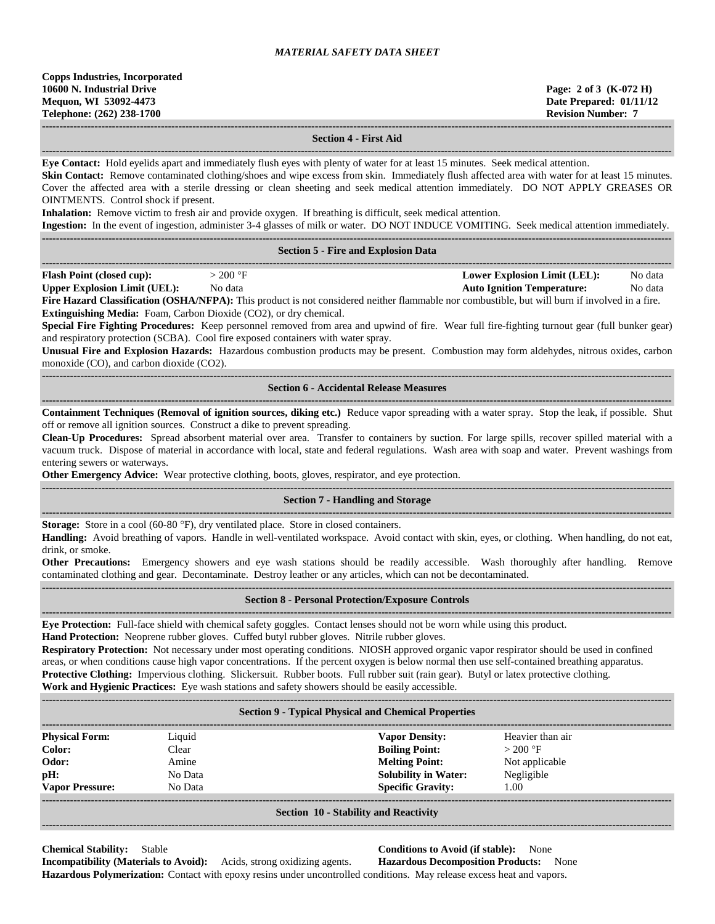**10600 N. Industrial Drive Page: 2 of 3 (K-072 H) Mequon, WI 53092-4473 Date Prepared: 01/11/12 Telephone: (262) 238-1700 Revision Number: 7 ------------------------------------------------------------------------------------------------------------------------------------------------------------------------------------ Section 4 - First Aid ------------------------------------------------------------------------------------------------------------------------------------------------------------------------------------ Eye Contact:** Hold eyelids apart and immediately flush eyes with plenty of water for at least 15 minutes. Seek medical attention. **Skin Contact:** Remove contaminated clothing/shoes and wipe excess from skin. Immediately flush affected area with water for at least 15 minutes. Cover the affected area with a sterile dressing or clean sheeting and seek medical attention immediately. DO NOT APPLY GREASES OR OINTMENTS. Control shock if present. **Inhalation:** Remove victim to fresh air and provide oxygen. If breathing is difficult, seek medical attention. **Ingestion:** In the event of ingestion, administer 3-4 glasses of milk or water. DO NOT INDUCE VOMITING. Seek medical attention immediately. **------------------------------------------------------------------------------------------------------------------------------------------------------------------------------------ Section 5 - Fire and Explosion Data ------------------------------------------------------------------------------------------------------------------------------------------------------------------------------------ Flash Point (closed cup):**  $> 200 \text{ °F}$  **Lower Explosion Limit (LEL):** No data **Upper Explosion Limit (UEL):** No data **Auto Ignition Temperature:** No data **Fire Hazard Classification (OSHA/NFPA):** This product is not considered neither flammable nor combustible, but will burn if involved in a fire. **Extinguishing Media:** Foam, Carbon Dioxide (CO2), or dry chemical. **Special Fire Fighting Procedures:** Keep personnel removed from area and upwind of fire. Wear full fire-fighting turnout gear (full bunker gear) and respiratory protection (SCBA). Cool fire exposed containers with water spray. **Unusual Fire and Explosion Hazards:** Hazardous combustion products may be present. Combustion may form aldehydes, nitrous oxides, carbon monoxide (CO), and carbon dioxide (CO2). **------------------------------------------------------------------------------------------------------------------------------------------------------------------------------------ Section 6 - Accidental Release Measures ------------------------------------------------------------------------------------------------------------------------------------------------------------------------------------ Containment Techniques (Removal of ignition sources, diking etc.)** Reduce vapor spreading with a water spray. Stop the leak, if possible. Shut off or remove all ignition sources. Construct a dike to prevent spreading. **Clean-Up Procedures:** Spread absorbent material over area. Transfer to containers by suction. For large spills, recover spilled material with a vacuum truck. Dispose of material in accordance with local, state and federal regulations. Wash area with soap and water. Prevent washings from entering sewers or waterways. **Other Emergency Advice:** Wear protective clothing, boots, gloves, respirator, and eye protection. **------------------------------------------------------------------------------------------------------------------------------------------------------------------------------------ Section 7 - Handling and Storage ------------------------------------------------------------------------------------------------------------------------------------------------------------------------------------ Storage:** Store in a cool (60-80 °F), dry ventilated place. Store in closed containers. **Handling:** Avoid breathing of vapors. Handle in well-ventilated workspace. Avoid contact with skin, eyes, or clothing. When handling, do not eat, drink, or smoke. **Other Precautions:** Emergency showers and eye wash stations should be readily accessible. Wash thoroughly after handling. Remove contaminated clothing and gear. Decontaminate. Destroy leather or any articles, which can not be decontaminated. **------------------------------------------------------------------------------------------------------------------------------------------------------------------------------------ Section 8 - Personal Protection/Exposure Controls ------------------------------------------------------------------------------------------------------------------------------------------------------------------------------------ Eye Protection:** Full-face shield with chemical safety goggles. Contact lenses should not be worn while using this product. **Hand Protection:** Neoprene rubber gloves. Cuffed butyl rubber gloves. Nitrile rubber gloves. **Respiratory Protection:** Not necessary under most operating conditions. NIOSH approved organic vapor respirator should be used in confined areas, or when conditions cause high vapor concentrations. If the percent oxygen is below normal then use self-contained breathing apparatus. **Protective Clothing:** Impervious clothing. Slickersuit. Rubber boots. Full rubber suit (rain gear). Butyl or latex protective clothing. **Work and Hygienic Practices:** Eye wash stations and safety showers should be easily accessible. **------------------------------------------------------------------------------------------------------------------------------------------------------------------------------------ Section 9 - Typical Physical and Chemical Properties ------------------------------------------------------------------------------------------------------------------------------------------------------------------------------------ Physical Form:** Liquid **Vapor Density:** Heavier than air **Color:** Clear **Clear <b>Boiling Point:**  $> 200 \text{ }^{\circ}\text{F}$ **Odor:** Amine **Melting Point:** Not applicable **pH:** No Data **No Data <b>Solubility in Water:** Negligible **Vapor Pressure:** No Data **Specific Gravity:** 1.00

## **------------------------------------------------------------------------------------------------------------------------------------------------------------------------------------ Section 10 - Stability and Reactivity**

**------------------------------------------------------------------------------------------------------------------------------------------------------------------------------------**

**Chemical Stability:** Stable **Conditions to Avoid (if stable):** None **Incompatibility (Materials to Avoid):** Acids, strong oxidizing agents. **Hazardous Decomposition Products:** None

**Hazardous Polymerization:** Contact with epoxy resins under uncontrolled conditions. May release excess heat and vapors.